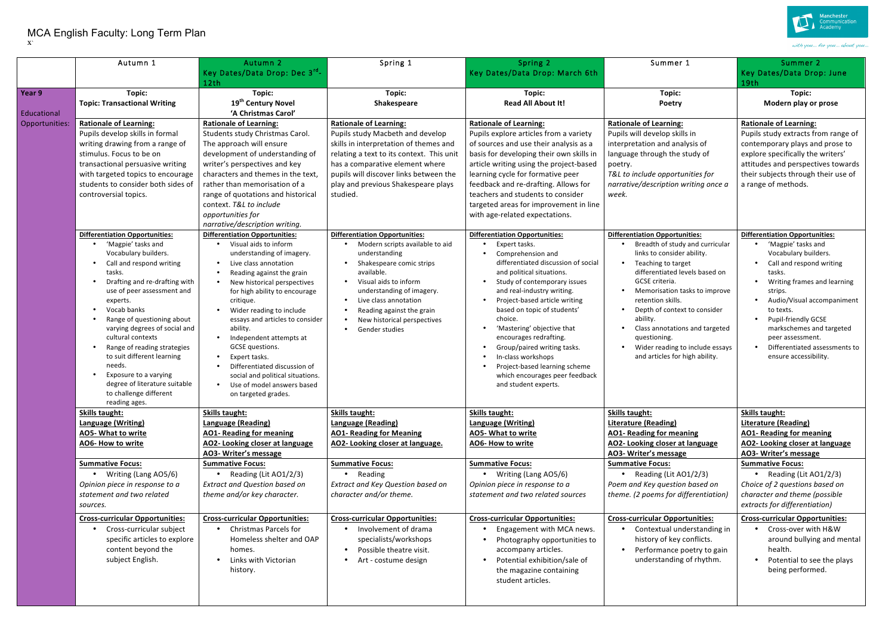## MCA English Faculty: Long Term Plan **X`**

|                       | Autumn 1                                                                                                                                                                                                                                                                                                                                                                                                                                   | Autumn <sub>2</sub><br>Key Dates/Data Drop: Dec 3 <sup>rd</sup> -                                                                                                                                                                                                                                                                                                                                                                                        | Spring 1                                                                                                                                                                                                                                                        | Spring 2<br>Key Dates/Data Drop: March 6th                                                                                                                                                                                                                                                                                                                                                                                                              | Summer 1                                                                                                                                                                                                                                                                                                                                                         | Summer 2<br>Key Dates/Data Drop: June                                                                                                                                                                                                                                                                         |
|-----------------------|--------------------------------------------------------------------------------------------------------------------------------------------------------------------------------------------------------------------------------------------------------------------------------------------------------------------------------------------------------------------------------------------------------------------------------------------|----------------------------------------------------------------------------------------------------------------------------------------------------------------------------------------------------------------------------------------------------------------------------------------------------------------------------------------------------------------------------------------------------------------------------------------------------------|-----------------------------------------------------------------------------------------------------------------------------------------------------------------------------------------------------------------------------------------------------------------|---------------------------------------------------------------------------------------------------------------------------------------------------------------------------------------------------------------------------------------------------------------------------------------------------------------------------------------------------------------------------------------------------------------------------------------------------------|------------------------------------------------------------------------------------------------------------------------------------------------------------------------------------------------------------------------------------------------------------------------------------------------------------------------------------------------------------------|---------------------------------------------------------------------------------------------------------------------------------------------------------------------------------------------------------------------------------------------------------------------------------------------------------------|
|                       |                                                                                                                                                                                                                                                                                                                                                                                                                                            | 12th                                                                                                                                                                                                                                                                                                                                                                                                                                                     |                                                                                                                                                                                                                                                                 |                                                                                                                                                                                                                                                                                                                                                                                                                                                         |                                                                                                                                                                                                                                                                                                                                                                  | 19th                                                                                                                                                                                                                                                                                                          |
| Year 9<br>Educational | Topic:<br><b>Topic: Transactional Writing</b>                                                                                                                                                                                                                                                                                                                                                                                              | Topic:<br>19 <sup>th</sup> Century Novel<br>'A Christmas Carol'                                                                                                                                                                                                                                                                                                                                                                                          | Topic:<br>Shakespeare                                                                                                                                                                                                                                           | Topic:<br><b>Read All About It!</b>                                                                                                                                                                                                                                                                                                                                                                                                                     | Topic:<br>Poetry                                                                                                                                                                                                                                                                                                                                                 | Topic:<br>Modern play or prose                                                                                                                                                                                                                                                                                |
| Opportunities:        | <b>Rationale of Learning:</b>                                                                                                                                                                                                                                                                                                                                                                                                              | <b>Rationale of Learning:</b>                                                                                                                                                                                                                                                                                                                                                                                                                            | <b>Rationale of Learning:</b>                                                                                                                                                                                                                                   | <b>Rationale of Learning:</b>                                                                                                                                                                                                                                                                                                                                                                                                                           | <b>Rationale of Learning:</b>                                                                                                                                                                                                                                                                                                                                    | <b>Rationale of Learning:</b>                                                                                                                                                                                                                                                                                 |
|                       | Pupils develop skills in formal<br>writing drawing from a range of                                                                                                                                                                                                                                                                                                                                                                         | Students study Christmas Carol.<br>The approach will ensure                                                                                                                                                                                                                                                                                                                                                                                              | Pupils study Macbeth and develop<br>skills in interpretation of themes and                                                                                                                                                                                      | Pupils explore articles from a variety<br>of sources and use their analysis as a                                                                                                                                                                                                                                                                                                                                                                        | Pupils will develop skills in<br>interpretation and analysis of                                                                                                                                                                                                                                                                                                  | Pupils study extracts from range of<br>contemporary plays and prose to                                                                                                                                                                                                                                        |
|                       | stimulus. Focus to be on                                                                                                                                                                                                                                                                                                                                                                                                                   | development of understanding of                                                                                                                                                                                                                                                                                                                                                                                                                          | relating a text to its context. This unit                                                                                                                                                                                                                       | basis for developing their own skills in                                                                                                                                                                                                                                                                                                                                                                                                                | language through the study of                                                                                                                                                                                                                                                                                                                                    | explore specifically the writers'                                                                                                                                                                                                                                                                             |
|                       | transactional persuasive writing                                                                                                                                                                                                                                                                                                                                                                                                           | writer's perspectives and key                                                                                                                                                                                                                                                                                                                                                                                                                            | has a comparative element where                                                                                                                                                                                                                                 | article writing using the project-based                                                                                                                                                                                                                                                                                                                                                                                                                 | poetry.                                                                                                                                                                                                                                                                                                                                                          | attitudes and perspectives towards                                                                                                                                                                                                                                                                            |
|                       | with targeted topics to encourage                                                                                                                                                                                                                                                                                                                                                                                                          | characters and themes in the text,                                                                                                                                                                                                                                                                                                                                                                                                                       | pupils will discover links between the                                                                                                                                                                                                                          | learning cycle for formative peer                                                                                                                                                                                                                                                                                                                                                                                                                       | T&L to include opportunities for                                                                                                                                                                                                                                                                                                                                 | their subjects through their use of                                                                                                                                                                                                                                                                           |
|                       | students to consider both sides of                                                                                                                                                                                                                                                                                                                                                                                                         | rather than memorisation of a                                                                                                                                                                                                                                                                                                                                                                                                                            | play and previous Shakespeare plays                                                                                                                                                                                                                             | feedback and re-drafting. Allows for                                                                                                                                                                                                                                                                                                                                                                                                                    | narrative/description writing once a                                                                                                                                                                                                                                                                                                                             | a range of methods.                                                                                                                                                                                                                                                                                           |
|                       | controversial topics.                                                                                                                                                                                                                                                                                                                                                                                                                      | range of quotations and historical                                                                                                                                                                                                                                                                                                                                                                                                                       | studied.                                                                                                                                                                                                                                                        | teachers and students to consider                                                                                                                                                                                                                                                                                                                                                                                                                       | week.                                                                                                                                                                                                                                                                                                                                                            |                                                                                                                                                                                                                                                                                                               |
|                       |                                                                                                                                                                                                                                                                                                                                                                                                                                            | context. T&L to include                                                                                                                                                                                                                                                                                                                                                                                                                                  |                                                                                                                                                                                                                                                                 | targeted areas for improvement in line                                                                                                                                                                                                                                                                                                                                                                                                                  |                                                                                                                                                                                                                                                                                                                                                                  |                                                                                                                                                                                                                                                                                                               |
|                       |                                                                                                                                                                                                                                                                                                                                                                                                                                            | opportunities for<br>narrative/description writing.                                                                                                                                                                                                                                                                                                                                                                                                      |                                                                                                                                                                                                                                                                 | with age-related expectations.                                                                                                                                                                                                                                                                                                                                                                                                                          |                                                                                                                                                                                                                                                                                                                                                                  |                                                                                                                                                                                                                                                                                                               |
|                       | <b>Differentiation Opportunities:</b>                                                                                                                                                                                                                                                                                                                                                                                                      | <b>Differentiation Opportunities:</b>                                                                                                                                                                                                                                                                                                                                                                                                                    | <b>Differentiation Opportunities:</b>                                                                                                                                                                                                                           | <b>Differentiation Opportunities:</b>                                                                                                                                                                                                                                                                                                                                                                                                                   | <b>Differentiation Opportunities:</b>                                                                                                                                                                                                                                                                                                                            | <b>Differentiation Opportunities:</b>                                                                                                                                                                                                                                                                         |
|                       | 'Magpie' tasks and<br>Vocabulary builders.<br>Call and respond writing<br>tasks.<br>Drafting and re-drafting with<br>use of peer assessment and<br>experts.<br>Vocab banks<br>Range of questioning about<br>varying degrees of social and<br>cultural contexts<br>Range of reading strategies<br>to suit different learning<br>needs.<br>Exposure to a varying<br>degree of literature suitable<br>to challenge different<br>reading ages. | Visual aids to inform<br>understanding of imagery.<br>Live class annotation<br>Reading against the grain<br>New historical perspectives<br>for high ability to encourage<br>critique.<br>Wider reading to include<br>essays and articles to consider<br>ability.<br>Independent attempts at<br>GCSE questions.<br>Expert tasks.<br>Differentiated discussion of<br>social and political situations.<br>Use of model answers based<br>on targeted grades. | • Modern scripts available to aid<br>understanding<br>• Shakespeare comic strips<br>available.<br>• Visual aids to inform<br>understanding of imagery.<br>• Live class annotation<br>Reading against the grain<br>New historical perspectives<br>Gender studies | Expert tasks.<br>Comprehension and<br>differentiated discussion of social<br>and political situations.<br>Study of contemporary issues<br>and real-industry writing.<br>Project-based article writing<br>based on topic of students'<br>choice.<br>'Mastering' objective that<br>encourages redrafting.<br>Group/paired writing tasks.<br>In-class workshops<br>Project-based learning scheme<br>which encourages peer feedback<br>and student experts. | Breadth of study and curricular<br>links to consider ability.<br>Teaching to target<br>differentiated levels based on<br>GCSE criteria.<br>Memorisation tasks to improve<br>retention skills.<br>Depth of context to consider<br>ability.<br>Class annotations and targeted<br>questioning.<br>Wider reading to include essays<br>and articles for high ability. | 'Magpie' tasks and<br>Vocabulary builders.<br>Call and respond writing<br>tasks.<br>Writing frames and learning<br>strips.<br>Audio/Visual accompaniment<br>to texts.<br><b>Pupil-friendly GCSE</b><br>markschemes and targeted<br>peer assessment.<br>Differentiated assessments to<br>ensure accessibility. |
|                       | <b>Skills taught:</b>                                                                                                                                                                                                                                                                                                                                                                                                                      | <b>Skills taught:</b>                                                                                                                                                                                                                                                                                                                                                                                                                                    | <b>Skills taught:</b>                                                                                                                                                                                                                                           | <b>Skills taught:</b>                                                                                                                                                                                                                                                                                                                                                                                                                                   | <b>Skills taught:</b>                                                                                                                                                                                                                                                                                                                                            | <b>Skills taught:</b>                                                                                                                                                                                                                                                                                         |
|                       | <b>Language (Writing)</b>                                                                                                                                                                                                                                                                                                                                                                                                                  | Language (Reading)                                                                                                                                                                                                                                                                                                                                                                                                                                       | Language (Reading)                                                                                                                                                                                                                                              | Language (Writing)                                                                                                                                                                                                                                                                                                                                                                                                                                      | Literature (Reading)                                                                                                                                                                                                                                                                                                                                             | <b>Literature (Reading)</b>                                                                                                                                                                                                                                                                                   |
|                       | AO5- What to write                                                                                                                                                                                                                                                                                                                                                                                                                         | <b>AO1- Reading for meaning</b>                                                                                                                                                                                                                                                                                                                                                                                                                          | <b>AO1- Reading for Meaning</b>                                                                                                                                                                                                                                 | AO5- What to write                                                                                                                                                                                                                                                                                                                                                                                                                                      | <b>AO1- Reading for meaning</b>                                                                                                                                                                                                                                                                                                                                  | <b>AO1- Reading for meaning</b>                                                                                                                                                                                                                                                                               |
|                       | AO6- How to write                                                                                                                                                                                                                                                                                                                                                                                                                          | AO2- Looking closer at language<br>AO3- Writer's message                                                                                                                                                                                                                                                                                                                                                                                                 | AO2- Looking closer at language.                                                                                                                                                                                                                                | AO6- How to write                                                                                                                                                                                                                                                                                                                                                                                                                                       | AO2- Looking closer at language<br>AO3- Writer's message                                                                                                                                                                                                                                                                                                         | AO2- Looking closer at language<br>AO3- Writer's message                                                                                                                                                                                                                                                      |
|                       | <b>Summative Focus:</b>                                                                                                                                                                                                                                                                                                                                                                                                                    | <b>Summative Focus:</b>                                                                                                                                                                                                                                                                                                                                                                                                                                  | <b>Summative Focus:</b>                                                                                                                                                                                                                                         | <b>Summative Focus:</b>                                                                                                                                                                                                                                                                                                                                                                                                                                 | <b>Summative Focus:</b>                                                                                                                                                                                                                                                                                                                                          | <b>Summative Focus:</b>                                                                                                                                                                                                                                                                                       |
|                       | • Writing (Lang AO5/6)                                                                                                                                                                                                                                                                                                                                                                                                                     | Reading (Lit AO1/2/3)                                                                                                                                                                                                                                                                                                                                                                                                                                    | • Reading                                                                                                                                                                                                                                                       | Writing (Lang AO5/6)                                                                                                                                                                                                                                                                                                                                                                                                                                    | • Reading (Lit AO1/2/3)                                                                                                                                                                                                                                                                                                                                          | Reading (Lit AO1/2/3)                                                                                                                                                                                                                                                                                         |
|                       | Opinion piece in response to a                                                                                                                                                                                                                                                                                                                                                                                                             | <b>Extract and Question based on</b>                                                                                                                                                                                                                                                                                                                                                                                                                     | Extract and Key Question based on                                                                                                                                                                                                                               | Opinion piece in response to a                                                                                                                                                                                                                                                                                                                                                                                                                          | Poem and Key question based on                                                                                                                                                                                                                                                                                                                                   | Choice of 2 questions based on                                                                                                                                                                                                                                                                                |
|                       | statement and two related                                                                                                                                                                                                                                                                                                                                                                                                                  | theme and/or key character.                                                                                                                                                                                                                                                                                                                                                                                                                              | character and/or theme.                                                                                                                                                                                                                                         | statement and two related sources                                                                                                                                                                                                                                                                                                                                                                                                                       | theme. (2 poems for differentiation)                                                                                                                                                                                                                                                                                                                             | character and theme (possible                                                                                                                                                                                                                                                                                 |
|                       | sources.                                                                                                                                                                                                                                                                                                                                                                                                                                   |                                                                                                                                                                                                                                                                                                                                                                                                                                                          |                                                                                                                                                                                                                                                                 |                                                                                                                                                                                                                                                                                                                                                                                                                                                         |                                                                                                                                                                                                                                                                                                                                                                  | extracts for differentiation)                                                                                                                                                                                                                                                                                 |
|                       | <b>Cross-curricular Opportunities:</b><br>Cross-curricular subject<br>specific articles to explore<br>content beyond the<br>subject English.                                                                                                                                                                                                                                                                                               | <b>Cross-curricular Opportunities:</b><br><b>Christmas Parcels for</b><br>Homeless shelter and OAP<br>homes.<br>Links with Victorian<br>history.                                                                                                                                                                                                                                                                                                         | <b>Cross-curricular Opportunities:</b><br>• Involvement of drama<br>specialists/workshops<br>Possible theatre visit.<br>• Art - costume design                                                                                                                  | <b>Cross-curricular Opportunities:</b><br>Engagement with MCA news.<br>Photography opportunities to<br>accompany articles.<br>Potential exhibition/sale of<br>the magazine containing<br>student articles.                                                                                                                                                                                                                                              | <b>Cross-curricular Opportunities:</b><br>Contextual understanding in<br>history of key conflicts.<br>Performance poetry to gain<br>understanding of rhythm.                                                                                                                                                                                                     | <b>Cross-curricular Opportunities:</b><br>• Cross-over with H&W<br>around bullying and mental<br>health.<br>Potential to see the plays<br>being performed.                                                                                                                                                    |
|                       |                                                                                                                                                                                                                                                                                                                                                                                                                                            |                                                                                                                                                                                                                                                                                                                                                                                                                                                          |                                                                                                                                                                                                                                                                 |                                                                                                                                                                                                                                                                                                                                                                                                                                                         |                                                                                                                                                                                                                                                                                                                                                                  |                                                                                                                                                                                                                                                                                                               |



with you... for you... about you...